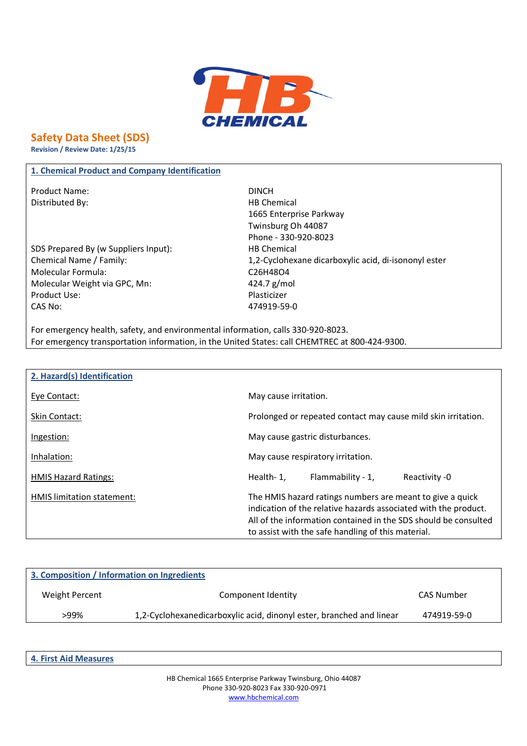

# **Safety Data Sheet (SDS)**

**Revision / Review Date: 1/25/15**

## **1. Chemical Product and Company Identification**

Product Name: DINCH Distributed By: Notice and Security and Security HB Chemical

SDS Prepared By (w Suppliers Input): HB Chemical Molecular Formula: C26H48O4 Molecular Weight via GPC, Mn: 424.7 g/mol Product Use: Notice and American product Use: CAS No: 474919-59-0

1665 Enterprise Parkway Twinsburg Oh 44087 Phone - 330-920-8023 Chemical Name / Family: 1,2-Cyclohexane dicarboxylic acid, di-isononyl ester

For emergency health, safety, and environmental information, calls 330-920-8023. For emergency transportation information, in the United States: call CHEMTREC at 800-424-9300.

| 2. Hazard(s) Identification |                                                                                                                                                                                                                                                       |
|-----------------------------|-------------------------------------------------------------------------------------------------------------------------------------------------------------------------------------------------------------------------------------------------------|
| Eye Contact:                | May cause irritation.                                                                                                                                                                                                                                 |
| Skin Contact:               | Prolonged or repeated contact may cause mild skin irritation.                                                                                                                                                                                         |
| Ingestion:                  | May cause gastric disturbances.                                                                                                                                                                                                                       |
| Inhalation:                 | May cause respiratory irritation.                                                                                                                                                                                                                     |
| <b>HMIS Hazard Ratings:</b> | Flammability - 1,<br>Health-1,<br>Reactivity -0                                                                                                                                                                                                       |
| HMIS limitation statement:  | The HMIS hazard ratings numbers are meant to give a quick<br>indication of the relative hazards associated with the product.<br>All of the information contained in the SDS should be consulted<br>to assist with the safe handling of this material. |

| 3. Composition / Information on Ingredients |                                                                      |             |
|---------------------------------------------|----------------------------------------------------------------------|-------------|
| Weight Percent                              | Component Identity                                                   | CAS Number  |
| >99%                                        | 1,2-Cyclohexanedicarboxylic acid, dinonyl ester, branched and linear | 474919-59-0 |
|                                             |                                                                      |             |

**4. First Aid Measures**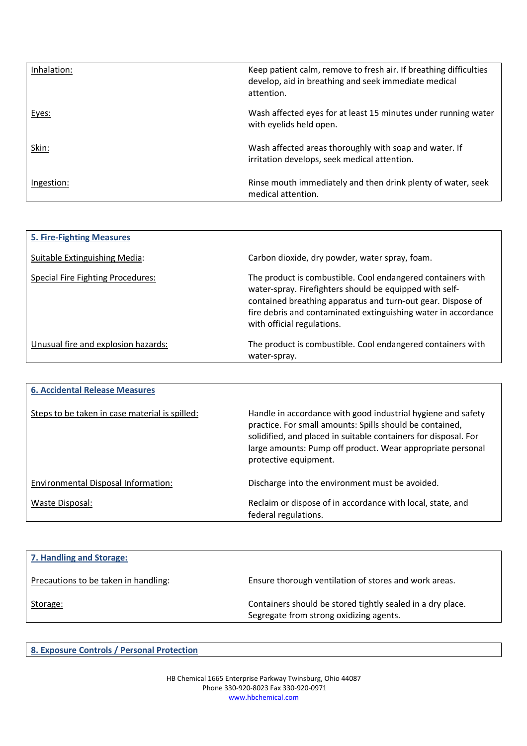| Inhalation: | Keep patient calm, remove to fresh air. If breathing difficulties<br>develop, aid in breathing and seek immediate medical<br>attention. |
|-------------|-----------------------------------------------------------------------------------------------------------------------------------------|
| Eyes:       | Wash affected eyes for at least 15 minutes under running water<br>with eyelids held open.                                               |
| Skin:       | Wash affected areas thoroughly with soap and water. If<br>irritation develops, seek medical attention.                                  |
| Ingestion:  | Rinse mouth immediately and then drink plenty of water, seek<br>medical attention.                                                      |

| <b>5. Fire-Fighting Measures</b>         |                                                                                                                                                                                                                                                                                       |
|------------------------------------------|---------------------------------------------------------------------------------------------------------------------------------------------------------------------------------------------------------------------------------------------------------------------------------------|
| Suitable Extinguishing Media:            | Carbon dioxide, dry powder, water spray, foam.                                                                                                                                                                                                                                        |
| <b>Special Fire Fighting Procedures:</b> | The product is combustible. Cool endangered containers with<br>water-spray. Firefighters should be equipped with self-<br>contained breathing apparatus and turn-out gear. Dispose of<br>fire debris and contaminated extinguishing water in accordance<br>with official regulations. |
| Unusual fire and explosion hazards:      | The product is combustible. Cool endangered containers with<br>water-spray.                                                                                                                                                                                                           |

| <b>6. Accidental Release Measures</b>          |                                                                                                                                                                                                                                                                                    |
|------------------------------------------------|------------------------------------------------------------------------------------------------------------------------------------------------------------------------------------------------------------------------------------------------------------------------------------|
| Steps to be taken in case material is spilled: | Handle in accordance with good industrial hygiene and safety<br>practice. For small amounts: Spills should be contained,<br>solidified, and placed in suitable containers for disposal. For<br>large amounts: Pump off product. Wear appropriate personal<br>protective equipment. |
| Environmental Disposal Information:            | Discharge into the environment must be avoided.                                                                                                                                                                                                                                    |
| Waste Disposal:                                | Reclaim or dispose of in accordance with local, state, and<br>federal regulations.                                                                                                                                                                                                 |

| Ensure thorough ventilation of stores and work areas.                                                 |
|-------------------------------------------------------------------------------------------------------|
| Containers should be stored tightly sealed in a dry place.<br>Segregate from strong oxidizing agents. |
|                                                                                                       |

**8. Exposure Controls / Personal Protection**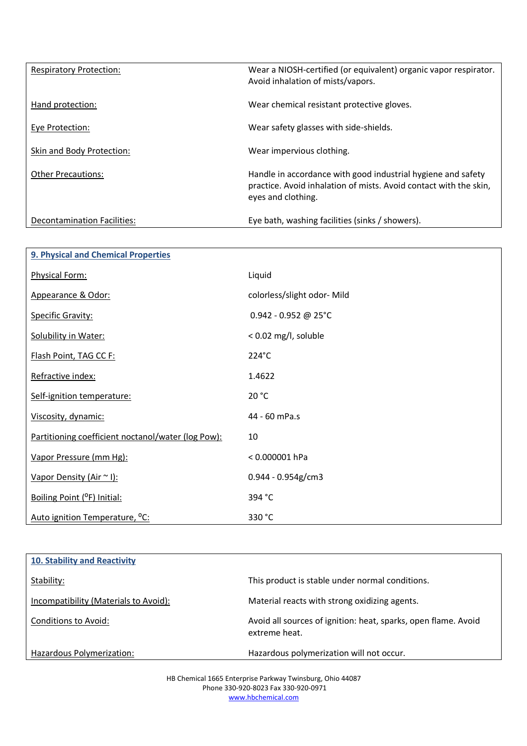| <b>Respiratory Protection:</b> | Wear a NIOSH-certified (or equivalent) organic vapor respirator.<br>Avoid inhalation of mists/vapors.                                                   |
|--------------------------------|---------------------------------------------------------------------------------------------------------------------------------------------------------|
| Hand protection:               | Wear chemical resistant protective gloves.                                                                                                              |
| Eye Protection:                | Wear safety glasses with side-shields.                                                                                                                  |
| Skin and Body Protection:      | Wear impervious clothing.                                                                                                                               |
| <b>Other Precautions:</b>      | Handle in accordance with good industrial hygiene and safety<br>practice. Avoid inhalation of mists. Avoid contact with the skin,<br>eyes and clothing. |
| Decontamination Facilities:    | Eye bath, washing facilities (sinks / showers).                                                                                                         |

| 9. Physical and Chemical Properties                |                             |
|----------------------------------------------------|-----------------------------|
| Physical Form:                                     | Liquid                      |
| Appearance & Odor:                                 | colorless/slight odor- Mild |
| <b>Specific Gravity:</b>                           | $0.942 - 0.952$ @ 25°C      |
| Solubility in Water:                               | < 0.02 mg/l, soluble        |
| Flash Point, TAG CC F:                             | 224°C                       |
| Refractive index:                                  | 1.4622                      |
| Self-ignition temperature:                         | 20 °C                       |
| Viscosity, dynamic:                                | 44 - 60 mPa.s               |
| Partitioning coefficient noctanol/water (log Pow): | 10                          |
| Vapor Pressure (mm Hg):                            | $< 0.000001$ hPa            |
| Vapor Density (Air ~ I):                           | $0.944 - 0.954g/cm3$        |
| Boiling Point (°F) Initial:                        | 394 °C                      |
| Auto ignition Temperature, <sup>o</sup> C:         | 330 °C                      |

| <b>10. Stability and Reactivity</b>   |                                                                                 |
|---------------------------------------|---------------------------------------------------------------------------------|
| Stability:                            | This product is stable under normal conditions.                                 |
| Incompatibility (Materials to Avoid): | Material reacts with strong oxidizing agents.                                   |
| Conditions to Avoid:                  | Avoid all sources of ignition: heat, sparks, open flame. Avoid<br>extreme heat. |
| Hazardous Polymerization:             | Hazardous polymerization will not occur.                                        |

HB Chemical 1665 Enterprise Parkway Twinsburg, Ohio 44087 Phone 330-920-8023 Fax 330-920-0971 www.hbchemical.com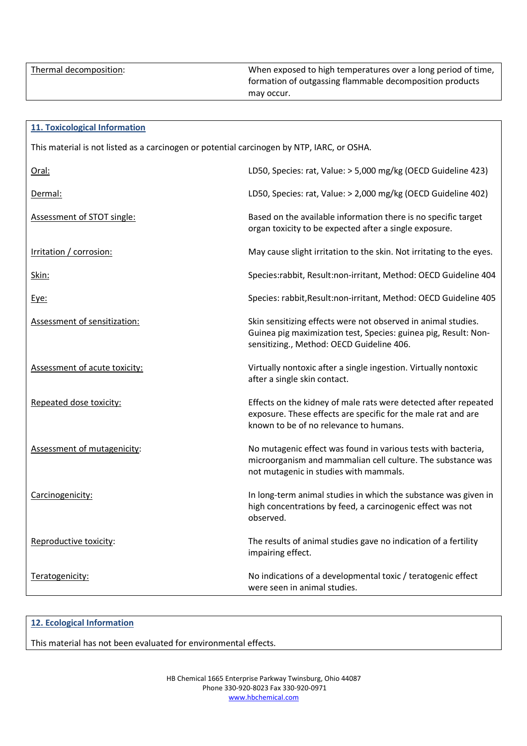|  | Thermal decomposition: |
|--|------------------------|
|  |                        |

When exposed to high temperatures over a long period of time, formation of outgassing flammable decomposition products may occur.

| <b>11. Toxicological Information</b>                                                       |                                                                                                                                                                               |  |
|--------------------------------------------------------------------------------------------|-------------------------------------------------------------------------------------------------------------------------------------------------------------------------------|--|
| This material is not listed as a carcinogen or potential carcinogen by NTP, IARC, or OSHA. |                                                                                                                                                                               |  |
| Oral:                                                                                      | LD50, Species: rat, Value: > 5,000 mg/kg (OECD Guideline 423)                                                                                                                 |  |
| Dermal:                                                                                    | LD50, Species: rat, Value: > 2,000 mg/kg (OECD Guideline 402)                                                                                                                 |  |
| Assessment of STOT single:                                                                 | Based on the available information there is no specific target<br>organ toxicity to be expected after a single exposure.                                                      |  |
| Irritation / corrosion:                                                                    | May cause slight irritation to the skin. Not irritating to the eyes.                                                                                                          |  |
| Skin:                                                                                      | Species:rabbit, Result:non-irritant, Method: OECD Guideline 404                                                                                                               |  |
| Eye:                                                                                       | Species: rabbit, Result:non-irritant, Method: OECD Guideline 405                                                                                                              |  |
| <b>Assessment of sensitization:</b>                                                        | Skin sensitizing effects were not observed in animal studies.<br>Guinea pig maximization test, Species: guinea pig, Result: Non-<br>sensitizing., Method: OECD Guideline 406. |  |
| Assessment of acute toxicity:                                                              | Virtually nontoxic after a single ingestion. Virtually nontoxic<br>after a single skin contact.                                                                               |  |
| Repeated dose toxicity:                                                                    | Effects on the kidney of male rats were detected after repeated<br>exposure. These effects are specific for the male rat and are<br>known to be of no relevance to humans.    |  |
| Assessment of mutagenicity:                                                                | No mutagenic effect was found in various tests with bacteria,<br>microorganism and mammalian cell culture. The substance was<br>not mutagenic in studies with mammals.        |  |
| Carcinogenicity:                                                                           | In long-term animal studies in which the substance was given in<br>high concentrations by feed, a carcinogenic effect was not<br>observed.                                    |  |
| Reproductive toxicity:                                                                     | The results of animal studies gave no indication of a fertility<br>impairing effect.                                                                                          |  |
| Teratogenicity:                                                                            | No indications of a developmental toxic / teratogenic effect<br>were seen in animal studies.                                                                                  |  |

## **12. Ecological Information**

This material has not been evaluated for environmental effects.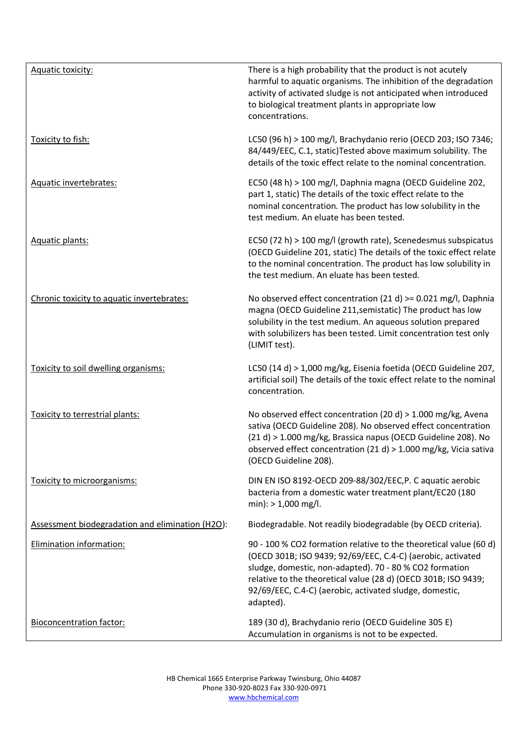| Aquatic toxicity:                                | There is a high probability that the product is not acutely<br>harmful to aquatic organisms. The inhibition of the degradation<br>activity of activated sludge is not anticipated when introduced<br>to biological treatment plants in appropriate low<br>concentrations.                                                             |
|--------------------------------------------------|---------------------------------------------------------------------------------------------------------------------------------------------------------------------------------------------------------------------------------------------------------------------------------------------------------------------------------------|
| Toxicity to fish:                                | LC50 (96 h) > 100 mg/l, Brachydanio rerio (OECD 203; ISO 7346;<br>84/449/EEC, C.1, static) Tested above maximum solubility. The<br>details of the toxic effect relate to the nominal concentration.                                                                                                                                   |
| Aquatic invertebrates:                           | EC50 (48 h) > 100 mg/l, Daphnia magna (OECD Guideline 202,<br>part 1, static) The details of the toxic effect relate to the<br>nominal concentration. The product has low solubility in the<br>test medium. An eluate has been tested.                                                                                                |
| Aquatic plants:                                  | EC50 (72 h) > 100 mg/l (growth rate), Scenedesmus subspicatus<br>(OECD Guideline 201, static) The details of the toxic effect relate<br>to the nominal concentration. The product has low solubility in<br>the test medium. An eluate has been tested.                                                                                |
| Chronic toxicity to aquatic invertebrates:       | No observed effect concentration (21 d) $> = 0.021$ mg/l, Daphnia<br>magna (OECD Guideline 211, semistatic) The product has low<br>solubility in the test medium. An aqueous solution prepared<br>with solubilizers has been tested. Limit concentration test only<br>(LIMIT test).                                                   |
| Toxicity to soil dwelling organisms:             | LC50 (14 d) > 1,000 mg/kg, Eisenia foetida (OECD Guideline 207,<br>artificial soil) The details of the toxic effect relate to the nominal<br>concentration.                                                                                                                                                                           |
| Toxicity to terrestrial plants:                  | No observed effect concentration (20 d) > 1.000 mg/kg, Avena<br>sativa (OECD Guideline 208). No observed effect concentration<br>(21 d) > 1.000 mg/kg, Brassica napus (OECD Guideline 208). No<br>observed effect concentration (21 d) > 1.000 mg/kg, Vicia sativa<br>(OECD Guideline 208).                                           |
| Toxicity to microorganisms:                      | DIN EN ISO 8192-OECD 209-88/302/EEC, P. C aquatic aerobic<br>bacteria from a domestic water treatment plant/EC20 (180<br>$min$ : > 1,000 mg/l.                                                                                                                                                                                        |
| Assessment biodegradation and elimination (H2O): | Biodegradable. Not readily biodegradable (by OECD criteria).                                                                                                                                                                                                                                                                          |
| <b>Elimination information:</b>                  | 90 - 100 % CO2 formation relative to the theoretical value (60 d)<br>(OECD 301B; ISO 9439; 92/69/EEC, C.4-C) (aerobic, activated<br>sludge, domestic, non-adapted). 70 - 80 % CO2 formation<br>relative to the theoretical value (28 d) (OECD 301B; ISO 9439;<br>92/69/EEC, C.4-C) (aerobic, activated sludge, domestic,<br>adapted). |
| <b>Bioconcentration factor:</b>                  | 189 (30 d), Brachydanio rerio (OECD Guideline 305 E)<br>Accumulation in organisms is not to be expected.                                                                                                                                                                                                                              |